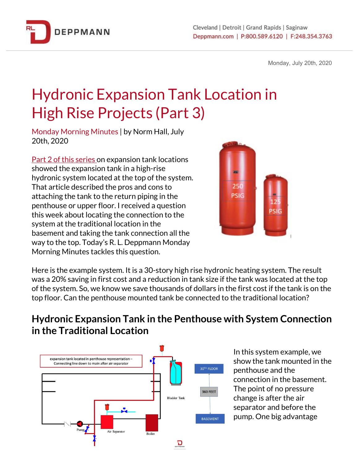

Monday, July 20th, 2020

## Hydronic Expansion Tank Location in High Rise Projects (Part 3)

Monday Morning Minutes | by Norm Hall, July 20th, 2020

Part 2 of this [series](https://bit.ly/2DHOmau) on expansion tank locations showed the expansion tank in a high-rise hydronic system located at the top of the system. That article described the pros and cons to attaching the tank to the return piping in the penthouse or upper floor. I received a question this week about locating the connection to the system at the traditional location in the basement and taking the tank connection all the way to the top. Today's R. L. Deppmann Monday Morning Minutes tackles this question.



Here is the example system. It is a 30-story high rise hydronic heating system. The result was a 20% saving in first cost and a reduction in tank size if the tank was located at the top of the system. So, we know we save thousands of dollars in the first cost if the tank is on the top floor. Can the penthouse mounted tank be connected to the traditional location?

## **Hydronic Expansion Tank in the Penthouse with System Connection in the Traditional Location**



In this system example, we show the tank mounted in the penthouse and the connection in the basement. The point of no pressure change is after the air separator and before the pump. One big advantage